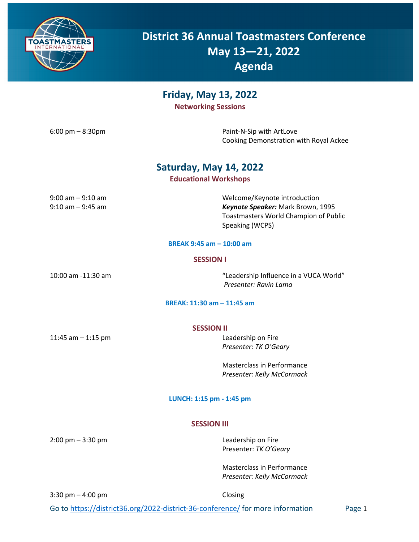

**District 36 Annual Toastmasters Conference May 13—21, 2022 Agenda**

**Friday, May 13, 2022**

**Networking Sessions**

6:00 pm – 8:30pm example and the paint-N-Sip with ArtLove Cooking Demonstration with Royal Ackee

## **Saturday, May 14, 2022**

### **Educational Workshops**

| $9:00$ am $-9:10$ am |  |
|----------------------|--|
| $9:10$ am $-9:45$ am |  |

Welcome/Keynote introduction Keynote Speaker: Mark Brown, 1995 Toastmasters World Champion of Public Speaking (WCPS)

#### **BREAK 9:45 am – 10:00 am**

#### **SESSION I**

10:00 am -11:30 am "Leadership Influence in a VUCA World" *Presenter: Ravin Lama*

#### **BREAK: 11:30 am – 11:45 am**

11:45 am – 1:15 pm Leadership on Fire

*Presenter: TK O'Geary*

Masterclass in Performance *Presenter: Kelly McCormack*

#### **LUNCH: 1:15 pm - 1:45 pm**

#### **SESSION III**

2:00 pm – 3:30 pm Leadership on Fire Presenter: *TK O'Geary*

> Masterclass in Performance *Presenter: Kelly McCormack*

 $3:30 \text{ pm} - 4:00 \text{ pm}$  Closing

Go to https://district36.org/2022-district-36-conference/ for more information Page 1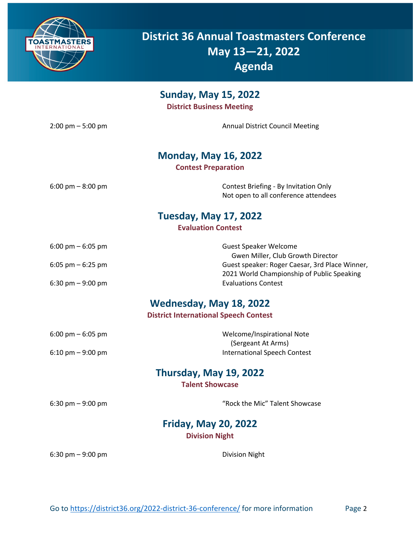

**District 36 Annual Toastmasters Conference May 13—21, 2022 Agenda**

| <b>Sunday, May 15, 2022</b><br><b>District Business Meeting</b>         |                                                                               |  |  |
|-------------------------------------------------------------------------|-------------------------------------------------------------------------------|--|--|
| $2:00$ pm $-5:00$ pm                                                    | <b>Annual District Council Meeting</b>                                        |  |  |
| <b>Monday, May 16, 2022</b><br><b>Contest Preparation</b>               |                                                                               |  |  |
| $6:00 \text{ pm} - 8:00 \text{ pm}$                                     | Contest Briefing - By Invitation Only<br>Not open to all conference attendees |  |  |
| <b>Tuesday, May 17, 2022</b><br><b>Evaluation Contest</b>               |                                                                               |  |  |
| $6:00 \text{ pm} - 6:05 \text{ pm}$                                     | <b>Guest Speaker Welcome</b><br>Gwen Miller, Club Growth Director             |  |  |
| 6:05 pm $-$ 6:25 pm                                                     | Guest speaker: Roger Caesar, 3rd Place Winner,                                |  |  |
| 6:30 pm $-9:00$ pm                                                      | 2021 World Championship of Public Speaking<br><b>Evaluations Contest</b>      |  |  |
| Wednesday, May 18, 2022<br><b>District International Speech Contest</b> |                                                                               |  |  |
| 6:00 pm $-$ 6:05 pm                                                     | Welcome/Inspirational Note                                                    |  |  |
| $6:10 \text{ pm} - 9:00 \text{ pm}$                                     | (Sergeant At Arms)<br><b>International Speech Contest</b>                     |  |  |
| Thursday, May 19, 2022<br><b>Talent Showcase</b>                        |                                                                               |  |  |
| 6:30 pm $-9:00$ pm                                                      | "Rock the Mic" Talent Showcase                                                |  |  |
| <b>Friday, May 20, 2022</b>                                             |                                                                               |  |  |

**Division Night**

6:30 pm – 9:00 pm Division Night